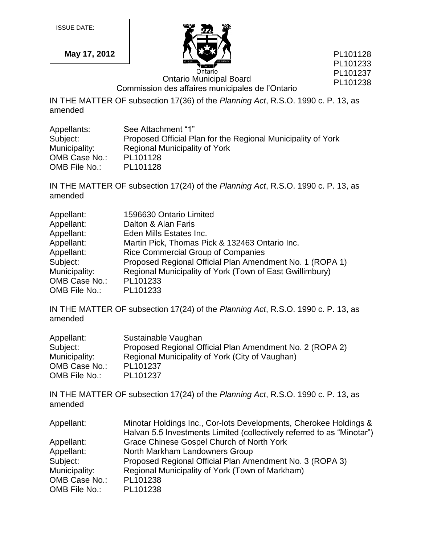ISSUE DATE:

**May 17, 2012**



PL101128 PL101233 PL101237 PL101238

Ontario Municipal Board

Commission des affaires municipales de l'Ontario

IN THE MATTER OF subsection 17(36) of the *Planning Act*, R.S.O. 1990 c. P. 13, as amended

| Appellants:   | See Attachment "1"                                           |
|---------------|--------------------------------------------------------------|
| Subject:      | Proposed Official Plan for the Regional Municipality of York |
| Municipality: | Regional Municipality of York                                |
| OMB Case No.: | PL101128                                                     |
| OMB File No.: | PL101128                                                     |

IN THE MATTER OF subsection 17(24) of the *Planning Act*, R.S.O. 1990 c. P. 13, as amended

| Appellant:    | 1596630 Ontario Limited                                  |
|---------------|----------------------------------------------------------|
| Appellant:    | Dalton & Alan Faris                                      |
| Appellant:    | Eden Mills Estates Inc.                                  |
| Appellant:    | Martin Pick, Thomas Pick & 132463 Ontario Inc.           |
| Appellant:    | <b>Rice Commercial Group of Companies</b>                |
| Subject:      | Proposed Regional Official Plan Amendment No. 1 (ROPA 1) |
| Municipality: | Regional Municipality of York (Town of East Gwillimbury) |
| OMB Case No.: | PL101233                                                 |
| OMB File No.: | PL101233                                                 |

IN THE MATTER OF subsection 17(24) of the *Planning Act*, R.S.O. 1990 c. P. 13, as amended

| Appellant:    | Sustainable Vaughan                                      |
|---------------|----------------------------------------------------------|
| Subject:      | Proposed Regional Official Plan Amendment No. 2 (ROPA 2) |
| Municipality: | Regional Municipality of York (City of Vaughan)          |
| OMB Case No.: | PL101237                                                 |
| OMB File No.: | PL101237                                                 |

IN THE MATTER OF subsection 17(24) of the *Planning Act*, R.S.O. 1990 c. P. 13, as amended

| Appellant:    | Minotar Holdings Inc., Cor-lots Developments, Cherokee Holdings &      |
|---------------|------------------------------------------------------------------------|
|               | Halvan 5.5 Investments Limited (collectively referred to as "Minotar") |
| Appellant:    | Grace Chinese Gospel Church of North York                              |
| Appellant:    | North Markham Landowners Group                                         |
| Subject:      | Proposed Regional Official Plan Amendment No. 3 (ROPA 3)               |
| Municipality: | Regional Municipality of York (Town of Markham)                        |
| OMB Case No.: | PL101238                                                               |
| OMB File No.: | PL101238                                                               |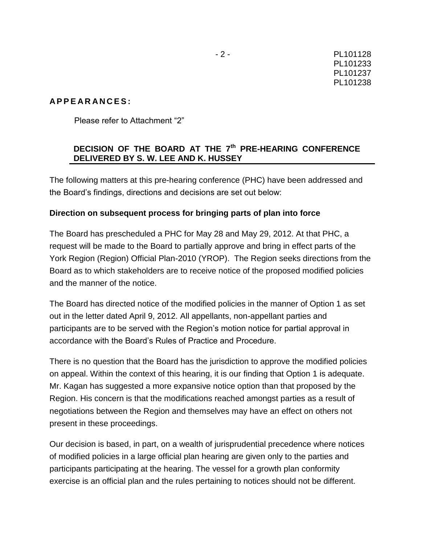### **A P P E A R A N C E S :**

Please refer to Attachment "2"

## **DECISION OF THE BOARD AT THE 7th PRE-HEARING CONFERENCE DELIVERED BY S. W. LEE AND K. HUSSEY**

The following matters at this pre-hearing conference (PHC) have been addressed and the Board's findings, directions and decisions are set out below:

### **Direction on subsequent process for bringing parts of plan into force**

The Board has prescheduled a PHC for May 28 and May 29, 2012. At that PHC, a request will be made to the Board to partially approve and bring in effect parts of the York Region (Region) Official Plan-2010 (YROP). The Region seeks directions from the Board as to which stakeholders are to receive notice of the proposed modified policies and the manner of the notice.

The Board has directed notice of the modified policies in the manner of Option 1 as set out in the letter dated April 9, 2012. All appellants, non-appellant parties and participants are to be served with the Region's motion notice for partial approval in accordance with the Board's Rules of Practice and Procedure.

There is no question that the Board has the jurisdiction to approve the modified policies on appeal. Within the context of this hearing, it is our finding that Option 1 is adequate. Mr. Kagan has suggested a more expansive notice option than that proposed by the Region. His concern is that the modifications reached amongst parties as a result of negotiations between the Region and themselves may have an effect on others not present in these proceedings.

Our decision is based, in part, on a wealth of jurisprudential precedence where notices of modified policies in a large official plan hearing are given only to the parties and participants participating at the hearing. The vessel for a growth plan conformity exercise is an official plan and the rules pertaining to notices should not be different.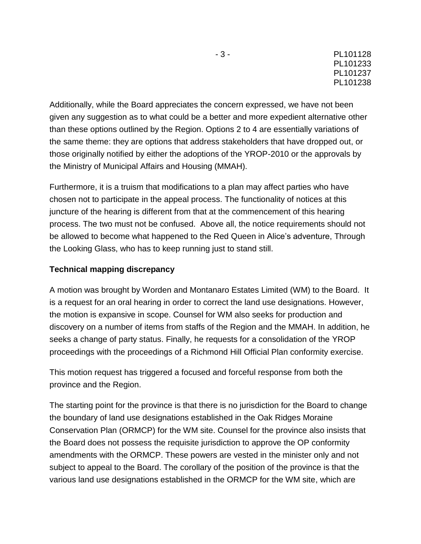Additionally, while the Board appreciates the concern expressed, we have not been given any suggestion as to what could be a better and more expedient alternative other than these options outlined by the Region. Options 2 to 4 are essentially variations of the same theme: they are options that address stakeholders that have dropped out, or those originally notified by either the adoptions of the YROP-2010 or the approvals by the Ministry of Municipal Affairs and Housing (MMAH).

Furthermore, it is a truism that modifications to a plan may affect parties who have chosen not to participate in the appeal process. The functionality of notices at this juncture of the hearing is different from that at the commencement of this hearing process. The two must not be confused. Above all, the notice requirements should not be allowed to become what happened to the Red Queen in Alice's adventure, Through the Looking Glass, who has to keep running just to stand still.

## **Technical mapping discrepancy**

A motion was brought by Worden and Montanaro Estates Limited (WM) to the Board. It is a request for an oral hearing in order to correct the land use designations. However, the motion is expansive in scope. Counsel for WM also seeks for production and discovery on a number of items from staffs of the Region and the MMAH. In addition, he seeks a change of party status. Finally, he requests for a consolidation of the YROP proceedings with the proceedings of a Richmond Hill Official Plan conformity exercise.

This motion request has triggered a focused and forceful response from both the province and the Region.

The starting point for the province is that there is no jurisdiction for the Board to change the boundary of land use designations established in the Oak Ridges Moraine Conservation Plan (ORMCP) for the WM site. Counsel for the province also insists that the Board does not possess the requisite jurisdiction to approve the OP conformity amendments with the ORMCP. These powers are vested in the minister only and not subject to appeal to the Board. The corollary of the position of the province is that the various land use designations established in the ORMCP for the WM site, which are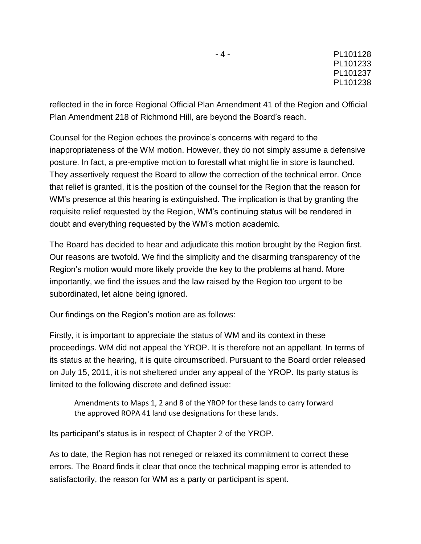reflected in the in force Regional Official Plan Amendment 41 of the Region and Official Plan Amendment 218 of Richmond Hill, are beyond the Board's reach.

Counsel for the Region echoes the province's concerns with regard to the inappropriateness of the WM motion. However, they do not simply assume a defensive posture. In fact, a pre-emptive motion to forestall what might lie in store is launched. They assertively request the Board to allow the correction of the technical error. Once that relief is granted, it is the position of the counsel for the Region that the reason for WM's presence at this hearing is extinguished. The implication is that by granting the requisite relief requested by the Region, WM's continuing status will be rendered in doubt and everything requested by the WM's motion academic.

The Board has decided to hear and adjudicate this motion brought by the Region first. Our reasons are twofold. We find the simplicity and the disarming transparency of the Region's motion would more likely provide the key to the problems at hand. More importantly, we find the issues and the law raised by the Region too urgent to be subordinated, let alone being ignored.

Our findings on the Region's motion are as follows:

Firstly, it is important to appreciate the status of WM and its context in these proceedings. WM did not appeal the YROP. It is therefore not an appellant. In terms of its status at the hearing, it is quite circumscribed. Pursuant to the Board order released on July 15, 2011, it is not sheltered under any appeal of the YROP. Its party status is limited to the following discrete and defined issue:

Amendments to Maps 1, 2 and 8 of the YROP for these lands to carry forward the approved ROPA 41 land use designations for these lands.

Its participant's status is in respect of Chapter 2 of the YROP.

As to date, the Region has not reneged or relaxed its commitment to correct these errors. The Board finds it clear that once the technical mapping error is attended to satisfactorily, the reason for WM as a party or participant is spent.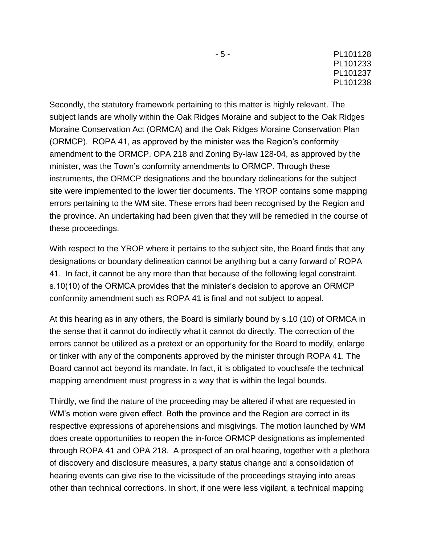Secondly, the statutory framework pertaining to this matter is highly relevant. The subject lands are wholly within the Oak Ridges Moraine and subject to the Oak Ridges Moraine Conservation Act (ORMCA) and the Oak Ridges Moraine Conservation Plan (ORMCP). ROPA 41, as approved by the minister was the Region's conformity amendment to the ORMCP. OPA 218 and Zoning By-law 128-04, as approved by the minister, was the Town's conformity amendments to ORMCP. Through these instruments, the ORMCP designations and the boundary delineations for the subject site were implemented to the lower tier documents. The YROP contains some mapping errors pertaining to the WM site. These errors had been recognised by the Region and the province. An undertaking had been given that they will be remedied in the course of these proceedings.

With respect to the YROP where it pertains to the subject site, the Board finds that any designations or boundary delineation cannot be anything but a carry forward of ROPA 41. In fact, it cannot be any more than that because of the following legal constraint. s.10(10) of the ORMCA provides that the minister's decision to approve an ORMCP conformity amendment such as ROPA 41 is final and not subject to appeal.

At this hearing as in any others, the Board is similarly bound by s.10 (10) of ORMCA in the sense that it cannot do indirectly what it cannot do directly. The correction of the errors cannot be utilized as a pretext or an opportunity for the Board to modify, enlarge or tinker with any of the components approved by the minister through ROPA 41. The Board cannot act beyond its mandate. In fact, it is obligated to vouchsafe the technical mapping amendment must progress in a way that is within the legal bounds.

Thirdly, we find the nature of the proceeding may be altered if what are requested in WM's motion were given effect. Both the province and the Region are correct in its respective expressions of apprehensions and misgivings. The motion launched by WM does create opportunities to reopen the in-force ORMCP designations as implemented through ROPA 41 and OPA 218. A prospect of an oral hearing, together with a plethora of discovery and disclosure measures, a party status change and a consolidation of hearing events can give rise to the vicissitude of the proceedings straying into areas other than technical corrections. In short, if one were less vigilant, a technical mapping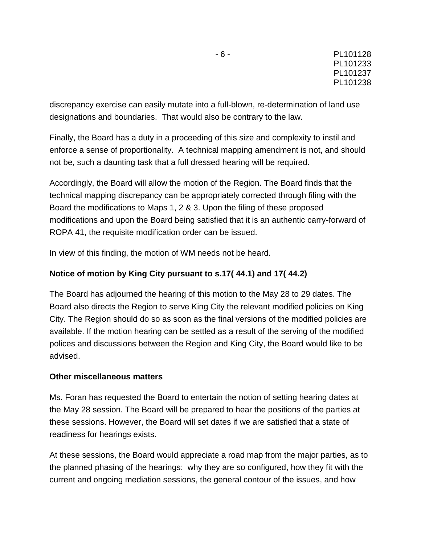discrepancy exercise can easily mutate into a full-blown, re-determination of land use designations and boundaries. That would also be contrary to the law.

Finally, the Board has a duty in a proceeding of this size and complexity to instil and enforce a sense of proportionality. A technical mapping amendment is not, and should not be, such a daunting task that a full dressed hearing will be required.

Accordingly, the Board will allow the motion of the Region. The Board finds that the technical mapping discrepancy can be appropriately corrected through filing with the Board the modifications to Maps 1, 2 & 3. Upon the filing of these proposed modifications and upon the Board being satisfied that it is an authentic carry-forward of ROPA 41, the requisite modification order can be issued.

In view of this finding, the motion of WM needs not be heard.

## **Notice of motion by King City pursuant to s.17( 44.1) and 17( 44.2)**

The Board has adjourned the hearing of this motion to the May 28 to 29 dates. The Board also directs the Region to serve King City the relevant modified policies on King City. The Region should do so as soon as the final versions of the modified policies are available. If the motion hearing can be settled as a result of the serving of the modified polices and discussions between the Region and King City, the Board would like to be advised.

## **Other miscellaneous matters**

Ms. Foran has requested the Board to entertain the notion of setting hearing dates at the May 28 session. The Board will be prepared to hear the positions of the parties at these sessions. However, the Board will set dates if we are satisfied that a state of readiness for hearings exists.

At these sessions, the Board would appreciate a road map from the major parties, as to the planned phasing of the hearings: why they are so configured, how they fit with the current and ongoing mediation sessions, the general contour of the issues, and how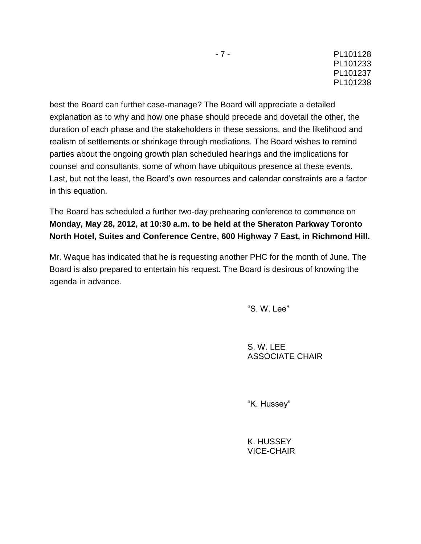best the Board can further case-manage? The Board will appreciate a detailed explanation as to why and how one phase should precede and dovetail the other, the duration of each phase and the stakeholders in these sessions, and the likelihood and realism of settlements or shrinkage through mediations. The Board wishes to remind parties about the ongoing growth plan scheduled hearings and the implications for counsel and consultants, some of whom have ubiquitous presence at these events. Last, but not the least, the Board's own resources and calendar constraints are a factor in this equation.

The Board has scheduled a further two-day prehearing conference to commence on **Monday, May 28, 2012, at 10:30 a.m. to be held at the Sheraton Parkway Toronto North Hotel, Suites and Conference Centre, 600 Highway 7 East, in Richmond Hill.**

Mr. Waque has indicated that he is requesting another PHC for the month of June. The Board is also prepared to entertain his request. The Board is desirous of knowing the agenda in advance.

"S. W. Lee"

S. W. LEE ASSOCIATE CHAIR

"K. Hussey"

K. HUSSEY VICE-CHAIR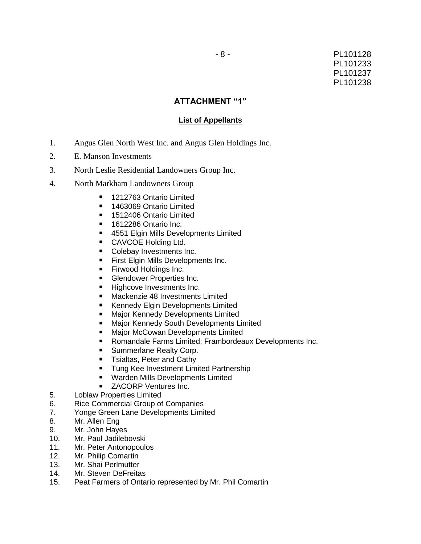### **ATTACHMENT "1"**

#### **List of Appellants**

- 1. Angus Glen North West Inc. and Angus Glen Holdings Inc.
- 2. E. Manson Investments
- 3. North Leslie Residential Landowners Group Inc.
- 4. North Markham Landowners Group
	- 1212763 Ontario Limited
	- 1463069 Ontario Limited
	- 1512406 Ontario Limited
	- 1612286 Ontario Inc.
	- 4551 Elgin Mills Developments Limited
	- **CAVCOE Holding Ltd.**
	- Colebay Investments Inc.
	- **First Elgin Mills Developments Inc.**
	- **Firwood Holdings Inc.**
	- **Glendower Properties Inc.**
	- Highcove Investments Inc.
	- **Mackenzie 48 Investments Limited**
	- Kennedy Elgin Developments Limited
	- **Major Kennedy Developments Limited**
	- **Major Kennedy South Developments Limited**
	- **Major McCowan Developments Limited**
	- Romandale Farms Limited; Frambordeaux Developments Inc.
	- **Summerlane Realty Corp.**
	- **T** Tsialtas, Peter and Cathy
	- **Tung Kee Investment Limited Partnership**
	- **Warden Mills Developments Limited**
	- **EXACORP Ventures Inc.**
- 5. Loblaw Properties Limited
- 6. Rice Commercial Group of Companies
- 7. Yonge Green Lane Developments Limited
- 8. Mr. Allen Eng
- 9. Mr. John Hayes
- 10. Mr. Paul Jadilebovski
- 11. Mr. Peter Antonopoulos
- 12. Mr. Philip Comartin
- 13. Mr. Shai Perlmutter
- 14. Mr. Steven DeFreitas
- 15. Peat Farmers of Ontario represented by Mr. Phil Comartin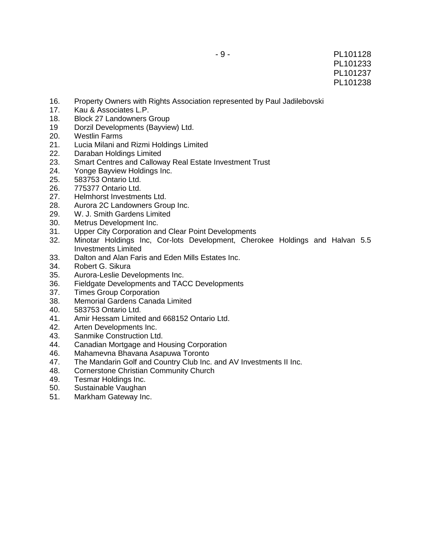- 16. Property Owners with Rights Association represented by Paul Jadilebovski
- 17. Kau & Associates L.P.
- 18. Block 27 Landowners Group
- 19 Dorzil Developments (Bayview) Ltd.
- 20. Westlin Farms
- 21. Lucia Milani and Rizmi Holdings Limited
- 22. Daraban Holdings Limited
- 23. Smart Centres and Calloway Real Estate Investment Trust
- 24. Yonge Bayview Holdings Inc.
- 25. 583753 Ontario Ltd.
- 26. 775377 Ontario Ltd.
- 27. Helmhorst Investments Ltd.
- 28. Aurora 2C Landowners Group Inc.
- 29. W. J. Smith Gardens Limited
- 30. Metrus Development Inc.
- 31. Upper City Corporation and Clear Point Developments
- 32. Minotar Holdings Inc, Cor-lots Development, Cherokee Holdings and Halvan 5.5 Investments Limited
- 33. Dalton and Alan Faris and Eden Mills Estates Inc.
- 34. Robert G. Sikura
- 35. Aurora-Leslie Developments Inc.
- 36. Fieldgate Developments and TACC Developments
- 37. Times Group Corporation
- 38. Memorial Gardens Canada Limited
- 40. 583753 Ontario Ltd.
- 41. Amir Hessam Limited and 668152 Ontario Ltd.
- 42. Arten Developments Inc.
- 43. Sanmike Construction Ltd.
- 44. Canadian Mortgage and Housing Corporation
- 46. Mahamevna Bhavana Asapuwa Toronto
- 47. The Mandarin Golf and Country Club Inc. and AV Investments II Inc.
- 48. Cornerstone Christian Community Church
- 49. Tesmar Holdings Inc.
- 50. Sustainable Vaughan
- 51. Markham Gateway Inc.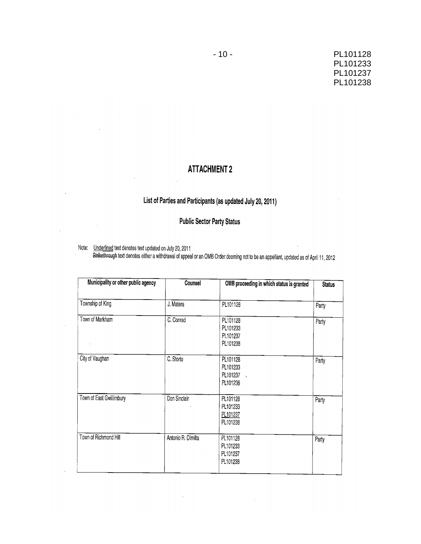### PL101128 PL101233 PL101237 PL101238

## **ATTACHMENT 2**

 $\bar{z}$ 

# List of Parties and Participants (as updated July 20, 2011)

**Public Sector Party Status** 

Note: Underlined text denotes text updated on July 20, 2011<br>Strikethrough text denotes either a withdrawal of appeal or an OMB Order deeming not to be an appellant, updated as of April 11, 2012

| Municipality or other public agency | Counsel            | OMB proceeding in which status is granted              | <b>Status</b> |  |
|-------------------------------------|--------------------|--------------------------------------------------------|---------------|--|
| Township of King                    | J. Matera          | PL101128                                               | Party         |  |
| Town of Markham                     | C. Conrad          | PL101128<br>PL101233<br>PL101237<br>PL101238           | Party         |  |
| City of Vaughan                     | C. Storto          | PL101128<br>PL101233<br>PL101237<br>$\sim$<br>PL101238 | Party         |  |
| Town of East Gwillimbury            | Don Sinclair       | PL101128<br>PL101233<br>PL101237<br>PL101238           | Party         |  |
| Town of Richmond Hill               | Antonio R. Dimilta | PL101128<br>PL101233<br>PL101237<br>PL101238           | Party         |  |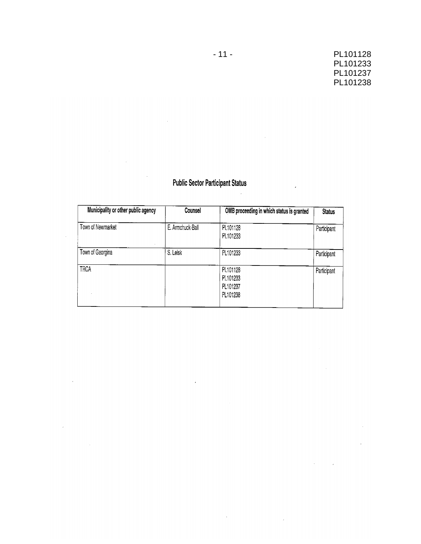$\sim$ 

 $\hat{\Gamma}$ 

 $\overline{a}$ 

# **Public Sector Participant Status**

l.

 $\hat{\boldsymbol{\beta}}$ 

 $\ddot{\phantom{a}}$ 

 $\sim$ 

 $\bar{\mathcal{L}}$ 

| Municipality or other public agency | Counsel          | OMB proceeding in which status is granted    | <b>Status</b> |  |
|-------------------------------------|------------------|----------------------------------------------|---------------|--|
| Town of Newmarket                   | E. Armchuck-Ball | PL101128<br>PL101233                         | Participant   |  |
| Town of Georgina                    | S. Leisk         | PL101233                                     | Participant   |  |
| <b>TRCA</b>                         |                  | PL101128<br>PL101233<br>PL101237<br>PL101238 | Participant   |  |

 $\hat{\mathbf{r}}$ 

 $\sim 40\%$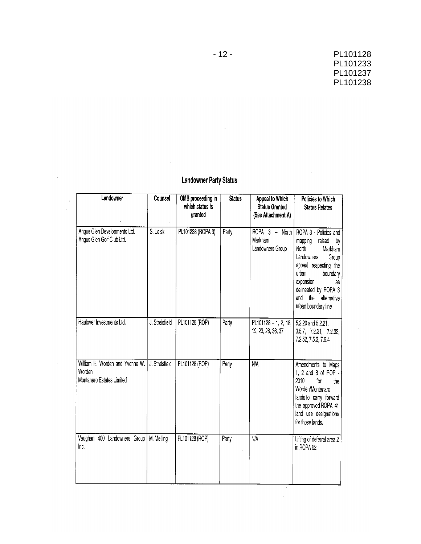k,

 $\mathcal{A}$ 

 $\overline{\mathcal{A}}$ 

# **Landowner Party Status**

 $\overline{1}$ 

 $\mathcal{A}$ 

| Landowner                                                              | Counsel        | OMB proceeding in<br>which status is<br>granted | <b>Status</b> | Appeal to Which<br><b>Status Granted</b><br>(See Attachment A) | Policies to Which<br><b>Status Relates</b>                                                                                                                                                                                               |
|------------------------------------------------------------------------|----------------|-------------------------------------------------|---------------|----------------------------------------------------------------|------------------------------------------------------------------------------------------------------------------------------------------------------------------------------------------------------------------------------------------|
| Angus Glen Developments Ltd.<br>Angus Glen Golf Club Ltd.              | S. Leisk       | PL101238 (ROPA 3)                               | Party         | ROPA 3 - North<br>Markham<br>Landowners Group                  | ROPA 3 - Policies and<br>raised<br>mapping<br>by<br>North<br>Markham<br>Landowners<br>Group<br>appeal respecting the<br>urban<br>boundary<br>expansion<br>as<br>delineated by ROPA 3<br>the<br>and<br>alternative<br>urban boundary line |
| Haulover Investments Ltd.                                              | J. Streisfield | PL101128 (ROP)                                  | Party         | $PL101128 - 1, 2, 18,$<br>19, 23, 28, 36, 37                   | 5.2.20 and 5.2.21,<br>3.5.7, 7.2.31, 7.2.32,<br>7.2.52, 7.5.3, 7.5.4                                                                                                                                                                     |
| William H. Worden and Yvonne W.<br>Worden<br>Montanaro Estates Limited | J. Streisfield | PL101128 (ROP)                                  | Party         | N/A                                                            | Amendments to Maps<br>1, 2 and 8 of ROP -<br>2010<br>for<br>the<br>Worden/Montanaro<br>lands to carry forward<br>the approved ROPA 41<br>land use designations<br>for those lands.                                                       |
| Vaughan 400 Landowners Group<br>Inc.                                   | M. Melling     | PL101128 (ROP)                                  | Party         | $N/\overline{A}$                                               | Lifting of deferral area 2<br>in ROPA 52                                                                                                                                                                                                 |

 $-12-$ 

l.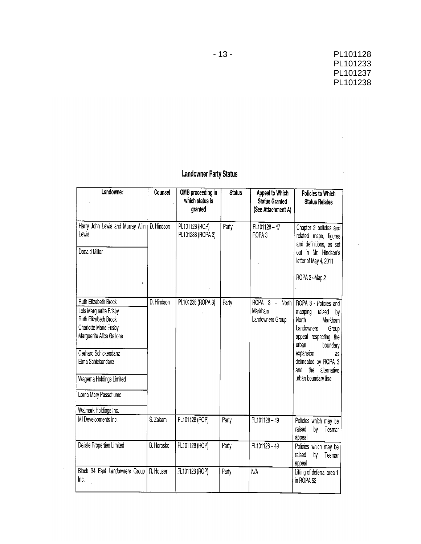$\Delta \sim 10^4$ 

 $\sim 10^{-10}$ 

 $\sim 10^7$ 

# **Landowner Party Status**

| Landowner                                                                                                                                                                                                                                              | Counsel    | OMB proceeding in<br>which status is<br>granted | <b>Status</b> | <b>Appeal to Which</b><br><b>Status Granted</b><br>(See Attachment A)                 | Policies to Which<br><b>Status Relates</b>                                                                                                                                                                                         |
|--------------------------------------------------------------------------------------------------------------------------------------------------------------------------------------------------------------------------------------------------------|------------|-------------------------------------------------|---------------|---------------------------------------------------------------------------------------|------------------------------------------------------------------------------------------------------------------------------------------------------------------------------------------------------------------------------------|
| Harry John Lewis and Murray Allin<br>Lewis<br>Donald Miller<br>¢,                                                                                                                                                                                      | D. Hindson | PL101128 (ROP)<br>PL101238 (ROPA 3)             | Party         | PL101128-47<br>ROPA <sub>3</sub>                                                      | Chapter 2 policies and<br>related maps, figures<br>and definitions, as set<br>out in Mr. Hindson's<br>letter of May 4, 2011<br>ROPA 3-Map 2                                                                                        |
| Ruth Elizabeth Brock<br>Lois Marguerite Frisby<br>Ruth Elizabeth Brock<br>Charlotte Marie Frisby<br>Marguerite Alice Gallone<br>Gerhard Schickendanz<br>Elma Schickendanz<br>Wagema Holdings Limited<br>Lorna Mary Passafiume<br>Walmark Holdings Inc. | D. Hindson | PL101238 (ROPA 3)                               | Party         | ROPA <sub>3</sub><br>North<br>$\overline{\phantom{0}}$<br>Markham<br>Landowners Group | ROPA 3 - Policies and<br>mapping<br>raised<br>by<br>North<br>Markham<br>Landowners<br>Group<br>appeal respecting the<br>urban<br>boundary<br>expansion<br>as<br>delineated by ROPA 3<br>and the alternative<br>urban boundary line |
| MI Developments Inc.                                                                                                                                                                                                                                   | S. Zakem   | PL101128 (ROP)                                  | Party         | PL101128-49                                                                           | Policies which may be<br>raised<br>by<br>Tesmar<br>appeal                                                                                                                                                                          |
| Delisle Properties Limited                                                                                                                                                                                                                             | B. Horosko | PL101128 (ROP)                                  | Party         | PL101128-49                                                                           | Policies which may be<br>raised<br>by<br>Tesmar<br>appeal                                                                                                                                                                          |
| Block 34 East Landowners Group<br>Inc.                                                                                                                                                                                                                 | R. Houser  | PL101128 (ROP)                                  | Party         | <b>N/A</b>                                                                            | Lifting of deferral area 1<br>in ROPA 52                                                                                                                                                                                           |

 $\mathcal{L}$ 

 $\Delta \sim 10^{11}$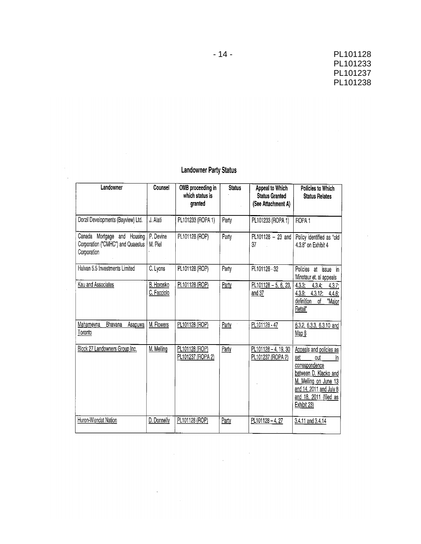$\hat{\boldsymbol{\beta}}$ 

 $\sim$ 

 $\mathcal{L}_{\text{max}}$  and  $\mathcal{L}_{\text{max}}$ 

## **Landowner Party Status**

 $\sim$ 

| Landowner                                                                       | Counsel                   | OMB proceeding in<br>which status is<br>granted | <b>Status</b> | Appeal to Which<br><b>Status Granted</b><br>(See Attachment A) | <b>Policies to Which</b><br><b>Status Relates</b>                                                                                                                                   |
|---------------------------------------------------------------------------------|---------------------------|-------------------------------------------------|---------------|----------------------------------------------------------------|-------------------------------------------------------------------------------------------------------------------------------------------------------------------------------------|
| Dorzil Developments (Bayview) Ltd.                                              | J. Alati                  | PL101233 (ROPA 1)                               | Party         | PL101233 (ROPA 1)                                              | ROPA <sub>1</sub>                                                                                                                                                                   |
| Canada Mortgage and Housing<br>Corporation ("CMHC") and Quaestus<br>Corporation | P. Devine<br>M. Piel      | PL101128 (ROP)                                  | Party         | PL101128 - 23 and<br>37                                        | Policy identified as "old<br>4.3.8" on Exhibit 4                                                                                                                                    |
| Halvan 5.5 Investments Limited                                                  | C. Lyons                  | PL101128 (ROP)                                  | Party         | PL101128 - 32                                                  | Policies<br>in<br>at<br>issue<br>Minotaur et. al appeals                                                                                                                            |
| Kau and Associates                                                              | B. Horosko<br>C. Facciolo | PL101128 (ROP)                                  | Party         | $PL101128 - 5, 6, 23,$<br>and 37                               | $4.3.3$ ;<br>4.3.4:<br>4.3.7<br>4.3.9 <sub>1</sub><br>4.3.12.<br>4.4.6<br>definition<br>"Major<br>οf<br>Retail"                                                                     |
| Mahamevna<br>Bhavana<br>Asapuwa<br>Toronto                                      | M. Flowers                | PL101128 (ROP)                                  | Party         | PL101128 - 47                                                  | 6.3.2, 6.3.3, 6.3.10 and<br>Map 8                                                                                                                                                   |
| Block 27 Landowners Group Inc.                                                  | M. Melling                | PL101128 (ROP)<br>PL101237 (ROPA 2)             | Party         | PL101128-4, 19, 30<br>PL101237 (ROPA 2)                        | Appeals and policies as<br>set<br>out<br>in<br>correspondence<br>between D. Klacko and<br>M. Melling on June 13<br>and 14, 2011 and July 8<br>and 18, 2011 (filed as<br>Exhibit 23) |
| Huron-Wendat Nation                                                             | D. Donnelly               | PL101128 (ROP)                                  | Party         | PL101128-4, 27                                                 | 3.4.11 and 3.4.14                                                                                                                                                                   |

 $\label{eq:2.1} \frac{1}{\sqrt{2}}\sum_{i=1}^n\frac{1}{\sqrt{2}}\sum_{i=1}^n\frac{1}{\sqrt{2}}\sum_{i=1}^n\frac{1}{\sqrt{2}}\sum_{i=1}^n\frac{1}{\sqrt{2}}\sum_{i=1}^n\frac{1}{\sqrt{2}}\sum_{i=1}^n\frac{1}{\sqrt{2}}\sum_{i=1}^n\frac{1}{\sqrt{2}}\sum_{i=1}^n\frac{1}{\sqrt{2}}\sum_{i=1}^n\frac{1}{\sqrt{2}}\sum_{i=1}^n\frac{1}{\sqrt{2}}\sum_{i=1}^n\frac$ 

 $\sim 10^{-10}$ 

 $\label{eq:2.1} \frac{1}{\sqrt{2\pi}}\int_{0}^{\infty}\frac{1}{\sqrt{2\pi}}\left(\frac{1}{\sqrt{2\pi}}\right)^{2\alpha} \frac{1}{\sqrt{2\pi}}\int_{0}^{\infty}\frac{1}{\sqrt{2\pi}}\left(\frac{1}{\sqrt{2\pi}}\right)^{2\alpha} \frac{1}{\sqrt{2\pi}}\frac{1}{\sqrt{2\pi}}\int_{0}^{\infty}\frac{1}{\sqrt{2\pi}}\frac{1}{\sqrt{2\pi}}\frac{1}{\sqrt{2\pi}}\frac{1}{\sqrt{2\pi}}\frac{1}{\sqrt{2\pi}}\frac{1}{\sqrt{$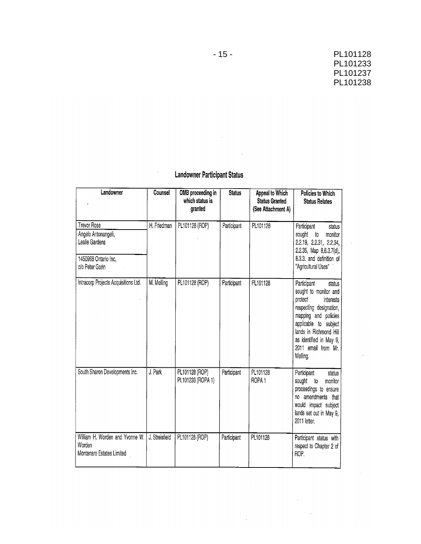$\hat{\mathcal{L}}$ 

 $\bar{\omega}$ 

 $\bar{z}$ 

## **Landowner Participant Status**

 $\sim$ 

| Landowner                                                                                              | Counsel        | OMB proceeding in<br>which status is<br>granted | <b>Status</b> | Appeal to Which<br><b>Status Granted</b><br>(See Attachment A) | Policies to Which<br><b>Status Relates</b>                                                                                                                                                                                                 |
|--------------------------------------------------------------------------------------------------------|----------------|-------------------------------------------------|---------------|----------------------------------------------------------------|--------------------------------------------------------------------------------------------------------------------------------------------------------------------------------------------------------------------------------------------|
| <b>Trevor Rose</b><br>Angelo Antonangeli,<br>Leslie Gardens<br>1450968 Ontario Inc,<br>c/o Peter Gorin | H. Friedman    | PL101128 (ROP)                                  | Participant   | PL101128                                                       | Participant<br>status<br>sought to<br>monitor<br>2.2.19, 2.2.31, 2.2.34,<br>2.2.35, Map 8,6.3.7(d),<br>8.3.3. and definition of<br>"Agricultural Uses"                                                                                     |
| Intracorp Projects Acquisitions Ltd.                                                                   | M. Melling     | PL101128 (ROP)                                  | Participant   | PL101128                                                       | Participant<br>status<br>sought to monitor and<br>protect<br>interests<br>respecting designation,<br>mapping and policies<br>applicable to subject<br>lands in Richmond Hill<br>as identified in May 9,<br>2011 email from Mr.<br>Melling. |
| South Sharon Developments Inc.                                                                         | J. Park        | PL101128 (ROP)<br>PL101233 (ROPA 1)             | Participant   | PL101128<br>ROPA <sub>1</sub>                                  | Participant<br>status<br>sought<br>monitor<br>to<br>proceedings to ensure<br>no amendments that<br>would impact subject<br>lands set out in May 9,<br>2011 letter.                                                                         |
| William H. Worden and Yvonne W.<br>Worden<br>Montanaro Estates Limited                                 | J. Streisfield | PL101128 (ROP)                                  | Participant   | PL101128                                                       | Participant status with<br>respect to Chapter 2 of<br>ROP.                                                                                                                                                                                 |

 $\label{eq:2.1} \frac{1}{\sqrt{2\pi}}\int_{0}^{\infty}\frac{1}{\sqrt{2\pi}}\left(\frac{1}{\sqrt{2\pi}}\right)^{2}d\mu_{\rm{eff}}\,.$ 

 $\hat{\mathcal{A}}$ 

 $\hat{\mathcal{A}}$ 

 $\sim 10^{-10}$ 

 $\sim$   $\sim$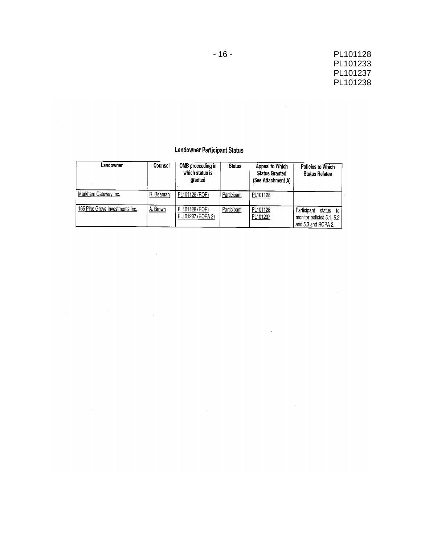$\sim$ 

 $\sim$ 

 $\sim$   $\sim$ 

### **Landowner Participant Status**

| Landowner                       | Counsel   | OMB proceeding in<br>which status is<br>granted | <b>Status</b> | Appeal to Which<br><b>Status Granted</b><br>(See Attachment A) | Policies to Which<br><b>Status Relates</b>                                   |
|---------------------------------|-----------|-------------------------------------------------|---------------|----------------------------------------------------------------|------------------------------------------------------------------------------|
| Markham Gateway Inc.            | R. Beaman | PL101128 (ROP)                                  | Participant   | PL101128                                                       |                                                                              |
| 165 Pine Grove Investments Inc. | A. Brown  | PL101128 (ROP)<br>PL101237 (ROPA 2)             | Participant   | PL101128<br>PL101237                                           | Participant<br>status to<br>monitor policies 5.1, 5.2<br>and 5.3 and ROPA 2. |

 $\sim$   $\sim$ 

 $\label{eq:2.1} \frac{1}{\sqrt{2\pi}}\int_{\mathbb{R}^3}\frac{1}{\sqrt{2\pi}}\int_{\mathbb{R}^3}\frac{1}{\sqrt{2\pi}}\int_{\mathbb{R}^3}\frac{1}{\sqrt{2\pi}}\int_{\mathbb{R}^3}\frac{1}{\sqrt{2\pi}}\int_{\mathbb{R}^3}\frac{1}{\sqrt{2\pi}}\int_{\mathbb{R}^3}\frac{1}{\sqrt{2\pi}}\int_{\mathbb{R}^3}\frac{1}{\sqrt{2\pi}}\int_{\mathbb{R}^3}\frac{1}{\sqrt{2\pi}}\int_{\mathbb{R}^3}\frac{1$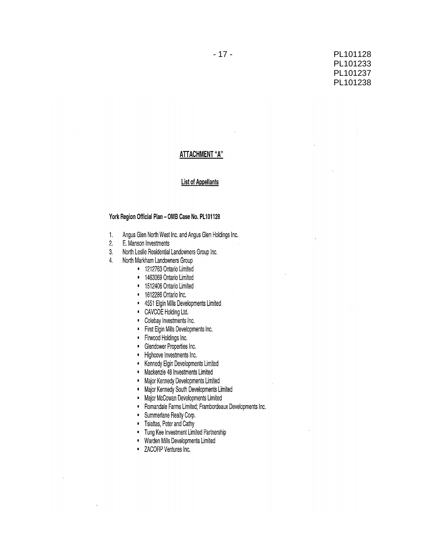### PL101128 PL101233 PL101237 PL101238

#### **ATTACHMENT "A"**

#### **List of Appellants**

#### York Region Official Plan - OMB Case No. PL101128

- Angus Glen North West Inc. and Angus Glen Holdings Inc.  $1.$
- $2.$ E. Manson Investments
- $3.$ North Leslie Residential Landowners Group Inc.
- $4.$ North Markham Landowners Group
	- <sup>1</sup> 1212763 Ontario Limited
	- · 1463069 Ontario Limited
	- \* 1512406 Ontario Limited
	- 1612286 Ontario Inc.
	- 4551 Elgin Mills Developments Limited  $\blacksquare$
	- CAVCOE Holding Ltd.
	- Colebay Investments Inc.
	- First Elgin Mills Developments Inc.  $\blacksquare$
	- Firwood Holdings Inc.
	- Glendower Properties Inc.
	- Highcove Investments Inc.
	- Kennedy Elgin Developments Limited
	- Mackenzie 48 Investments Limited  $\mathbf{r}$
	- Major Kennedy Developments Limited  $\mathbf{L}$
	- $\mathbf{L}^{\dagger}$ Major Kennedy South Developments Limited
	- Major McCowan Developments Limited  $\mathbf{r}^{\prime}$
	- Romandale Farms Limited; Frambordeaux Developments Inc.  $\blacksquare$
	- $\mathbf{r}^{\top}$ Summerlane Realty Corp.
	- " Tsialtas, Peter and Cathy
	- · Tung Kee Investment Limited Partnership
	- \* Warden Mills Developments Limited
	- **E** ZACORP Ventures Inc.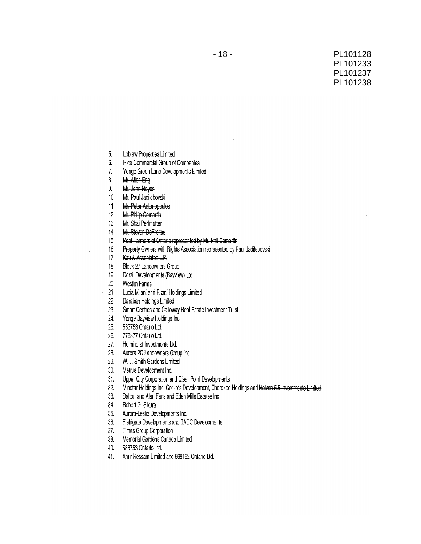- Loblaw Properties Limited 5.
- 6. Rice Commercial Group of Companies
- Yonge Green Lane Developments Limited  $7.$
- 8. Mr. Allen Eng
- $9.$ Mr. John Hayes
- Mr. Paul Jadilebovski  $10.$
- Mr. Peter Antonopoulos  $11.$
- Mr. Philip Comartin  $12.$
- Mr. Shai Perlmutter  $13.$
- Mr. Steven DeFreitas  $14.$
- Peat Farmers of Ontario represented by Mr. Phil Comartin  $15<sub>1</sub>$
- Property Owners with Rights Association represented by Paul Jadilebovski  $16<sub>1</sub>$
- Kau & Associates L.P.  $17.$
- $18<sup>18</sup>$ Block 27 Landowners Group
- Dorzil Developments (Bayview) Ltd.  $19 -$
- 20. Westlin Farms
- Lucia Milani and Rizmi Holdings Limited  $21$
- Daraban Holdings Limited  $22.$
- 23. Smart Centres and Calloway Real Estate Investment Trust
- 24. Yonge Bayview Holdings Inc.
- $25.$ 583753 Ontario Ltd.
- 26. 775377 Ontario Ltd.
- 27. Helmhorst Investments Ltd.
- 28. Aurora 2C Landowners Group Inc.
- W. J. Smith Gardens Limited 29.
- $30.$ Metrus Development Inc.
- Upper City Corporation and Clear Point Developments  $31.$
- Minotar Holdings Inc, Cor-lots Development, Cherokee Holdings and Halvan 5.5-Investments Limited  $32.$
- Dalton and Alan Faris and Eden Mills Estates Inc. 33.
- 34. Robert G. Sikura
- Aurora-Leslie Developments Inc.  $35.$
- 36. Fieldgate Developments and TACC Developments
- 37. Times Group Corporation
- 38. Memorial Gardens Canada Limited
- 40. 583753 Ontario Ltd.
- 41. Amir Hessam Limited and 668152 Ontario Ltd.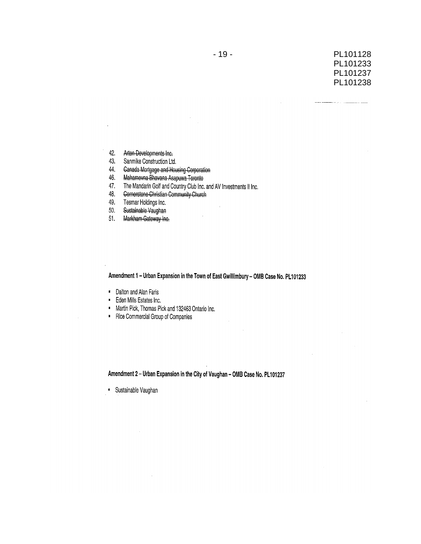an sa c

- Arten Developments Inc. 42.
- 43. Sanmike Construction Ltd.
- 44. **Canada Mortgage and Housing Corporation**
- Mahamevna Bhavana Asapuwa Toronto 46.
- 47. The Mandarin Golf and Country Club Inc. and AV Investments II Inc.
- Cornerstone Christian Community Church 48.
- 49. Tesmar Holdings Inc.
- Sustainable Vaughan 50.
- 51. Markham-Gateway Inc.

Amendment 1 - Urban Expansion in the Town of East Gwillimbury - OMB Case No. PL101233

 $\mathbf{r}$ 

- Dalton and Alan Faris
- Eden Mills Estates Inc.
- " Martin Pick, Thomas Pick and 132463 Ontario Inc.
- " Rice Commercial Group of Companies

Amendment 2 - Urban Expansion in the City of Vaughan - OMB Case No. PL101237

· Sustainable Vaughan